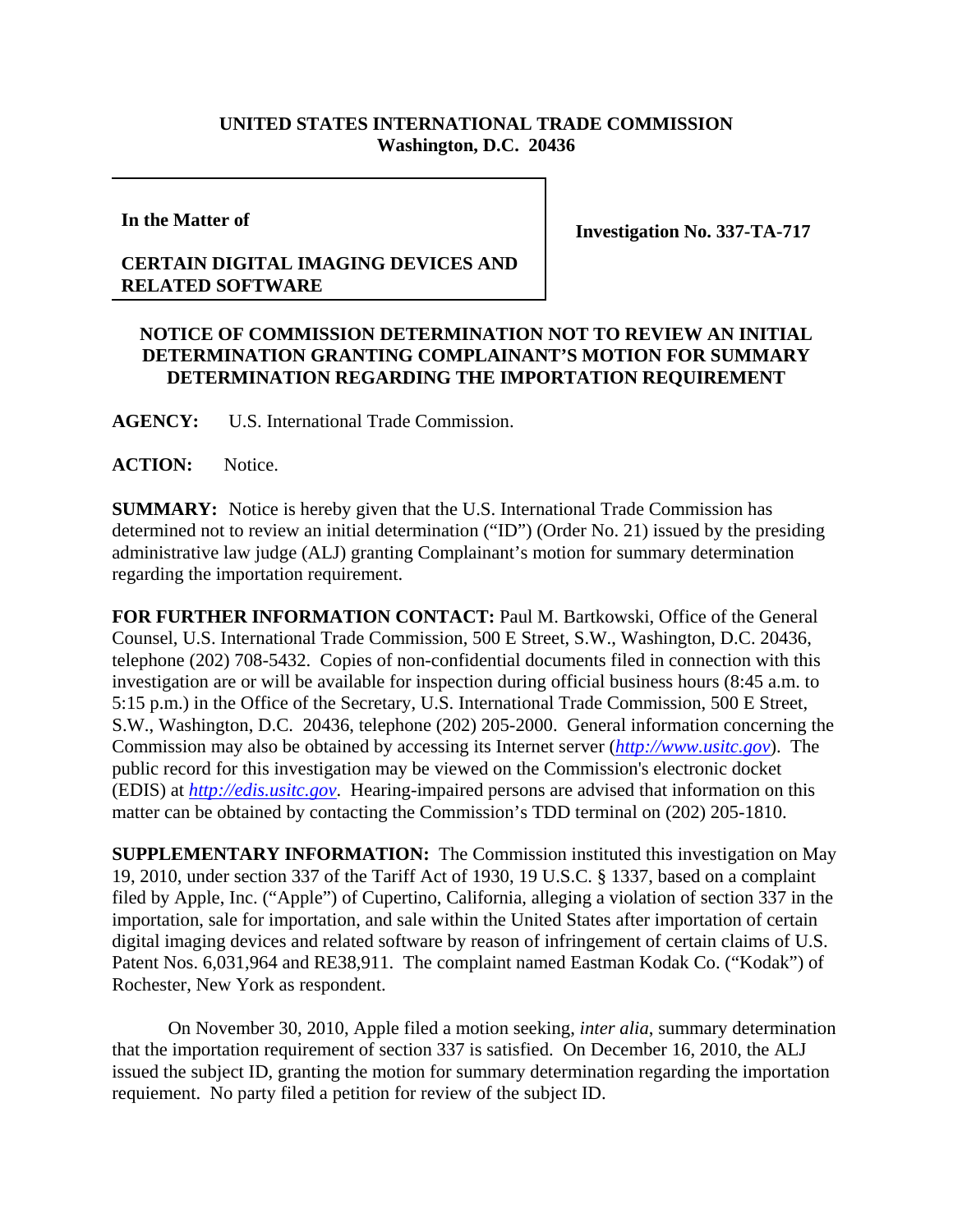## **UNITED STATES INTERNATIONAL TRADE COMMISSION Washington, D.C. 20436**

**In the Matter of**

**Investigation No. 337-TA-717**

## **CERTAIN DIGITAL IMAGING DEVICES AND RELATED SOFTWARE**

## **NOTICE OF COMMISSION DETERMINATION NOT TO REVIEW AN INITIAL DETERMINATION GRANTING COMPLAINANT'S MOTION FOR SUMMARY DETERMINATION REGARDING THE IMPORTATION REQUIREMENT**

**AGENCY:** U.S. International Trade Commission.

## **ACTION:** Notice.

**SUMMARY:** Notice is hereby given that the U.S. International Trade Commission has determined not to review an initial determination ("ID") (Order No. 21) issued by the presiding administrative law judge (ALJ) granting Complainant's motion for summary determination regarding the importation requirement.

**FOR FURTHER INFORMATION CONTACT:** Paul M. Bartkowski, Office of the General Counsel, U.S. International Trade Commission, 500 E Street, S.W., Washington, D.C. 20436, telephone (202) 708-5432. Copies of non-confidential documents filed in connection with this investigation are or will be available for inspection during official business hours (8:45 a.m. to 5:15 p.m.) in the Office of the Secretary, U.S. International Trade Commission, 500 E Street, S.W., Washington, D.C. 20436, telephone (202) 205-2000. General information concerning the Commission may also be obtained by accessing its Internet server (*http://www.usitc.gov*). The public record for this investigation may be viewed on the Commission's electronic docket (EDIS) at *http://edis.usitc.gov*. Hearing-impaired persons are advised that information on this matter can be obtained by contacting the Commission's TDD terminal on (202) 205-1810.

**SUPPLEMENTARY INFORMATION:** The Commission instituted this investigation on May 19, 2010, under section 337 of the Tariff Act of 1930, 19 U.S.C. § 1337, based on a complaint filed by Apple, Inc. ("Apple") of Cupertino, California, alleging a violation of section 337 in the importation, sale for importation, and sale within the United States after importation of certain digital imaging devices and related software by reason of infringement of certain claims of U.S. Patent Nos. 6,031,964 and RE38,911. The complaint named Eastman Kodak Co. ("Kodak") of Rochester, New York as respondent.

On November 30, 2010, Apple filed a motion seeking, *inter alia*, summary determination that the importation requirement of section 337 is satisfied. On December 16, 2010, the ALJ issued the subject ID, granting the motion for summary determination regarding the importation requiement. No party filed a petition for review of the subject ID.